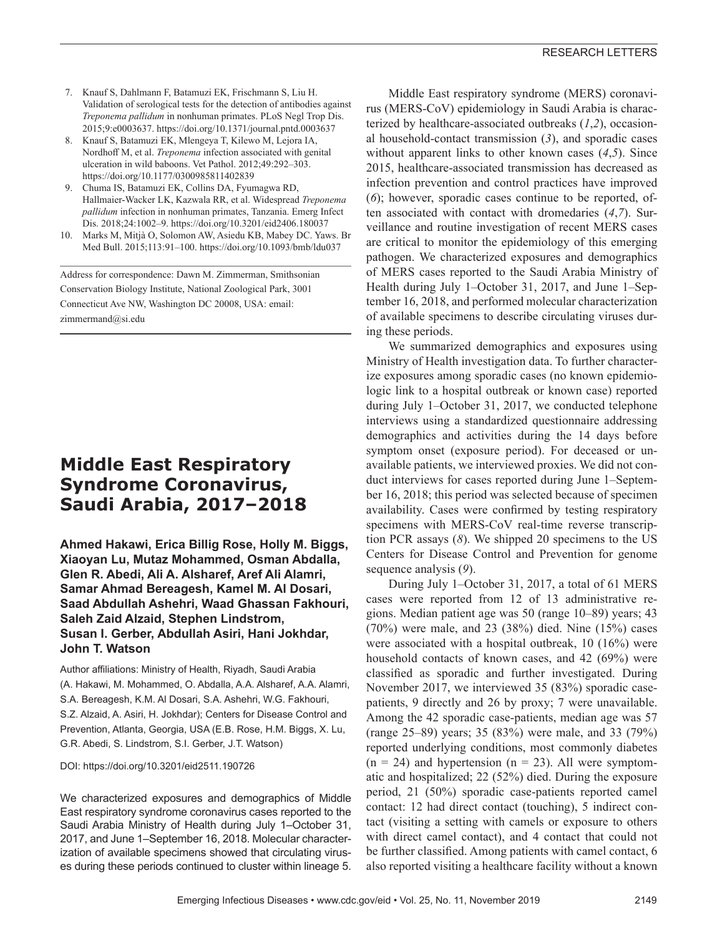- 7. Knauf S, Dahlmann F, Batamuzi EK, Frischmann S, Liu H. Validation of serological tests for the detection of antibodies against *Treponema pallidum* in nonhuman primates. PLoS Negl Trop Dis. 2015;9:e0003637. https://doi.org/10.1371/journal.pntd.0003637
- 8. Knauf S, Batamuzi EK, Mlengeya T, Kilewo M, Lejora IA, Nordhoff M, et al. *Treponema* infection associated with genital ulceration in wild baboons. Vet Pathol. 2012;49:292–303. https://doi.org/10.1177/0300985811402839
- 9. Chuma IS, Batamuzi EK, Collins DA, Fyumagwa RD, Hallmaier-Wacker LK, Kazwala RR, et al. Widespread *Treponema pallidum* infection in nonhuman primates, Tanzania. Emerg Infect Dis. 2018;24:1002–9. https://doi.org/10.3201/eid2406.180037
- 10. Marks M, Mitjà O, Solomon AW, Asiedu KB, Mabey DC. Yaws. Br Med Bull. 2015;113:91–100. https://doi.org/10.1093/bmb/ldu037

Address for correspondence: Dawn M. Zimmerman, Smithsonian Conservation Biology Institute, National Zoological Park, 3001 Connecticut Ave NW, Washington DC 20008, USA: email: zimmermand@si.edu

# **Middle East Respiratory Syndrome Coronavirus, Saudi Arabia, 2017–2018**

**Ahmed Hakawi, Erica Billig Rose, Holly M. Biggs, Xiaoyan Lu, Mutaz Mohammed, Osman Abdalla, Glen R. Abedi, Ali A. Alsharef, Aref Ali Alamri, Samar Ahmad Bereagesh, Kamel M. Al Dosari, Saad Abdullah Ashehri, Waad Ghassan Fakhouri, Saleh Zaid Alzaid, Stephen Lindstrom, Susan I. Gerber, Abdullah Asiri, Hani Jokhdar, John T. Watson**

Author affiliations: Ministry of Health, Riyadh, Saudi Arabia (A. Hakawi, M. Mohammed, O. Abdalla, A.A. Alsharef, A.A. Alamri, S.A. Bereagesh, K.M. Al Dosari, S.A. Ashehri, W.G. Fakhouri, S.Z. Alzaid, A. Asiri, H. Jokhdar); Centers for Disease Control and Prevention, Atlanta, Georgia, USA (E.B. Rose, H.M. Biggs, X. Lu, G.R. Abedi, S. Lindstrom, S.I. Gerber, J.T. Watson)

DOI: https://doi.org/10.3201/eid2511.190726

We characterized exposures and demographics of Middle East respiratory syndrome coronavirus cases reported to the Saudi Arabia Ministry of Health during July 1–October 31, 2017, and June 1–September 16, 2018. Molecular characterization of available specimens showed that circulating viruses during these periods continued to cluster within lineage 5.

Middle East respiratory syndrome (MERS) coronavirus (MERS-CoV) epidemiology in Saudi Arabia is characterized by healthcare-associated outbreaks (*1*,*2*), occasional household-contact transmission (*3*), and sporadic cases without apparent links to other known cases (*4*,*5*). Since 2015, healthcare-associated transmission has decreased as infection prevention and control practices have improved (*6*); however, sporadic cases continue to be reported, often associated with contact with dromedaries (*4*,*7*). Surveillance and routine investigation of recent MERS cases are critical to monitor the epidemiology of this emerging pathogen. We characterized exposures and demographics of MERS cases reported to the Saudi Arabia Ministry of Health during July 1–October 31, 2017, and June 1–September 16, 2018, and performed molecular characterization of available specimens to describe circulating viruses during these periods.

We summarized demographics and exposures using Ministry of Health investigation data. To further characterize exposures among sporadic cases (no known epidemiologic link to a hospital outbreak or known case) reported during July 1–October 31, 2017, we conducted telephone interviews using a standardized questionnaire addressing demographics and activities during the 14 days before symptom onset (exposure period). For deceased or unavailable patients, we interviewed proxies. We did not conduct interviews for cases reported during June 1–September 16, 2018; this period was selected because of specimen availability. Cases were confirmed by testing respiratory specimens with MERS-CoV real-time reverse transcription PCR assays (*8*). We shipped 20 specimens to the US Centers for Disease Control and Prevention for genome sequence analysis (*9*).

During July 1–October 31, 2017, a total of 61 MERS cases were reported from 12 of 13 administrative regions. Median patient age was 50 (range 10–89) years; 43 (70%) were male, and 23 (38%) died. Nine (15%) cases were associated with a hospital outbreak, 10 (16%) were household contacts of known cases, and 42 (69%) were classified as sporadic and further investigated. During November 2017, we interviewed 35 (83%) sporadic casepatients, 9 directly and 26 by proxy; 7 were unavailable. Among the 42 sporadic case-patients, median age was 57 (range 25–89) years; 35 (83%) were male, and 33 (79%) reported underlying conditions, most commonly diabetes  $(n = 24)$  and hypertension  $(n = 23)$ . All were symptomatic and hospitalized; 22 (52%) died. During the exposure period, 21 (50%) sporadic case-patients reported camel contact: 12 had direct contact (touching), 5 indirect contact (visiting a setting with camels or exposure to others with direct camel contact), and 4 contact that could not be further classified. Among patients with camel contact, 6 also reported visiting a healthcare facility without a known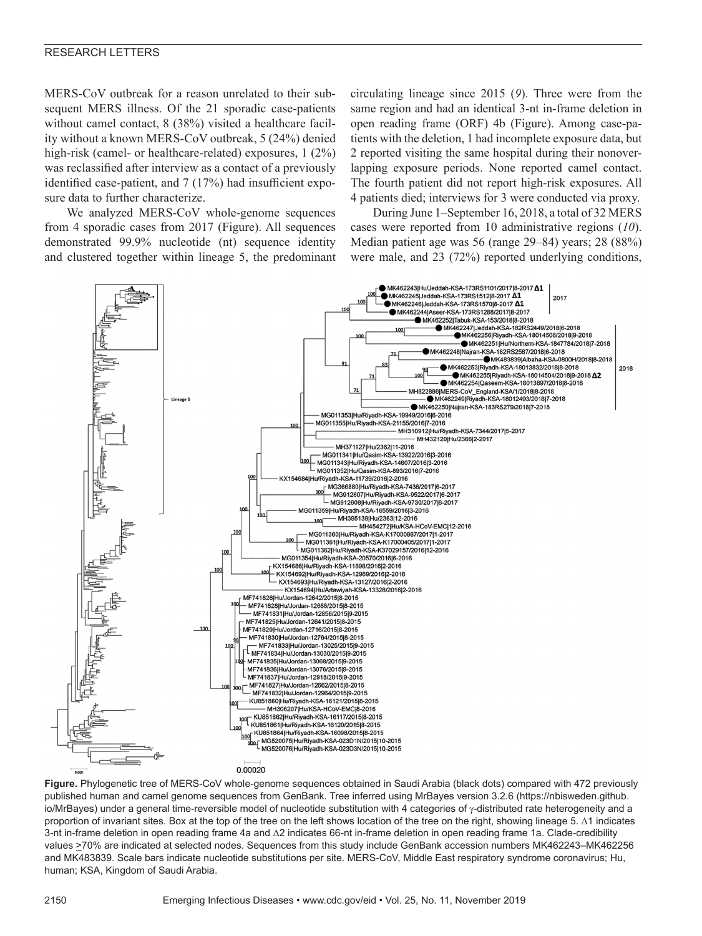#### RESEARCH LETTERS

MERS-CoV outbreak for a reason unrelated to their subsequent MERS illness. Of the 21 sporadic case-patients without camel contact, 8 (38%) visited a healthcare facility without a known MERS-CoV outbreak, 5 (24%) denied high-risk (camel- or healthcare-related) exposures, 1 (2%) was reclassified after interview as a contact of a previously identified case-patient, and 7 (17%) had insufficient exposure data to further characterize.

We analyzed MERS-CoV whole-genome sequences from 4 sporadic cases from 2017 (Figure). All sequences demonstrated 99.9% nucleotide (nt) sequence identity and clustered together within lineage 5, the predominant

circulating lineage since 2015 (*9*). Three were from the same region and had an identical 3-nt in-frame deletion in open reading frame (ORF) 4b (Figure). Among case-patients with the deletion, 1 had incomplete exposure data, but 2 reported visiting the same hospital during their nonoverlapping exposure periods. None reported camel contact. The fourth patient did not report high-risk exposures. All 4 patients died; interviews for 3 were conducted via proxy.

During June 1–September 16, 2018, a total of 32 MERS cases were reported from 10 administrative regions (*10*). Median patient age was 56 (range 29–84) years; 28 (88%) were male, and 23 (72%) reported underlying conditions,



**Figure.** Phylogenetic tree of MERS-CoV whole-genome sequences obtained in Saudi Arabia (black dots) compared with 472 previously published human and camel genome sequences from GenBank. Tree inferred using MrBayes version 3.2.6 (https://nbisweden.github. io/MrBayes) under a general time-reversible model of nucleotide substitution with 4 categories of γ-distributed rate heterogeneity and a proportion of invariant sites. Box at the top of the tree on the left shows location of the tree on the right, showing lineage 5. Δ1 indicates 3-nt in-frame deletion in open reading frame 4a and Δ2 indicates 66-nt in-frame deletion in open reading frame 1a. Clade-credibility values >70% are indicated at selected nodes. Sequences from this study include GenBank accession numbers MK462243–MK462256 and MK483839. Scale bars indicate nucleotide substitutions per site. MERS-CoV, Middle East respiratory syndrome coronavirus; Hu, human; KSA, Kingdom of Saudi Arabia.